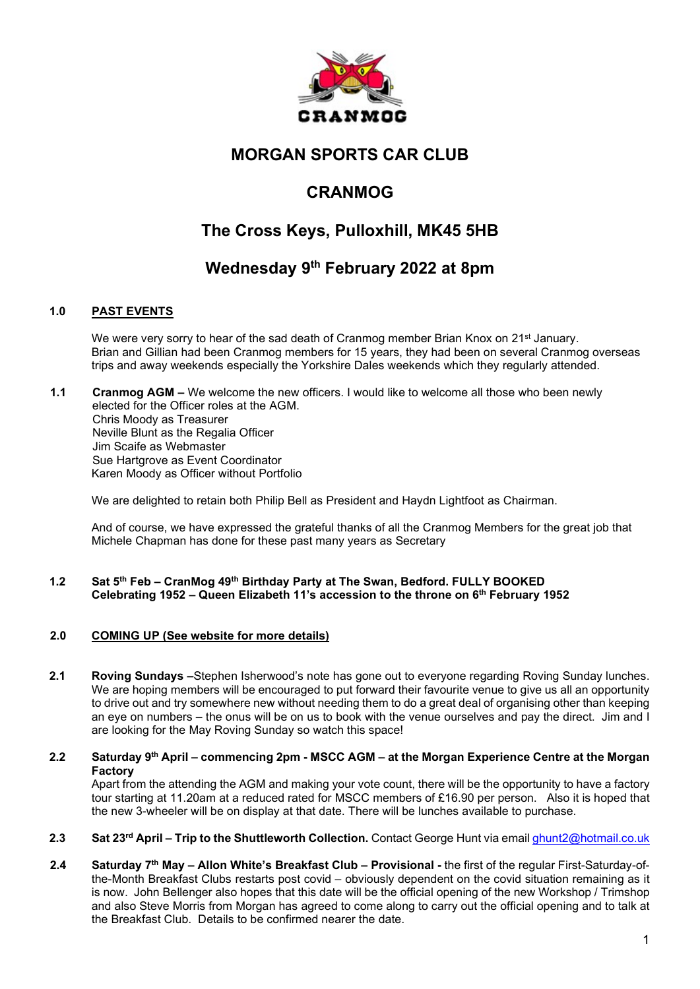

# MORGAN SPORTS CAR CLUB

# CRANMOG

# The Cross Keys, Pulloxhill, MK45 5HB

# Wednesday 9<sup>th</sup> February 2022 at 8pm

# 1.0 PAST EVENTS

We were very sorry to hear of the sad death of Cranmog member Brian Knox on 21<sup>st</sup> January. Brian and Gillian had been Cranmog members for 15 years, they had been on several Cranmog overseas trips and away weekends especially the Yorkshire Dales weekends which they regularly attended.

1.1 Cranmog AGM – We welcome the new officers. I would like to welcome all those who been newly elected for the Officer roles at the AGM. Chris Moody as Treasurer Neville Blunt as the Regalia Officer Jim Scaife as Webmaster Sue Hartgrove as Event Coordinator Karen Moody as Officer without Portfolio

We are delighted to retain both Philip Bell as President and Haydn Lightfoot as Chairman.

And of course, we have expressed the grateful thanks of all the Cranmog Members for the great job that Michele Chapman has done for these past many years as Secretary

## 1.2 Sat 5th Feb – CranMog 49th Birthday Party at The Swan, Bedford. FULLY BOOKED Celebrating 1952 – Queen Elizabeth 11's accession to the throne on 6th February 1952

## 2.0 COMING UP (See website for more details)

- 2.1 Roving Sundays –Stephen Isherwood's note has gone out to everyone regarding Roving Sunday lunches. We are hoping members will be encouraged to put forward their favourite venue to give us all an opportunity to drive out and try somewhere new without needing them to do a great deal of organising other than keeping an eye on numbers – the onus will be on us to book with the venue ourselves and pay the direct. Jim and I are looking for the May Roving Sunday so watch this space!
- 2.2 Saturday 9<sup>th</sup> April commencing 2pm MSCC AGM at the Morgan Experience Centre at the Morgan Factory

Apart from the attending the AGM and making your vote count, there will be the opportunity to have a factory tour starting at 11.20am at a reduced rated for MSCC members of £16.90 per person. Also it is hoped that the new 3-wheeler will be on display at that date. There will be lunches available to purchase.

- 2.3 Sat 23<sup>rd</sup> April Trip to the Shuttleworth Collection. Contact George Hunt via email ghunt2@hotmail.co.uk
- 2.4 Saturday 7<sup>th</sup> May Allon White's Breakfast Club Provisional the first of the regular First-Saturday-ofthe-Month Breakfast Clubs restarts post covid – obviously dependent on the covid situation remaining as it is now. John Bellenger also hopes that this date will be the official opening of the new Workshop / Trimshop and also Steve Morris from Morgan has agreed to come along to carry out the official opening and to talk at the Breakfast Club. Details to be confirmed nearer the date.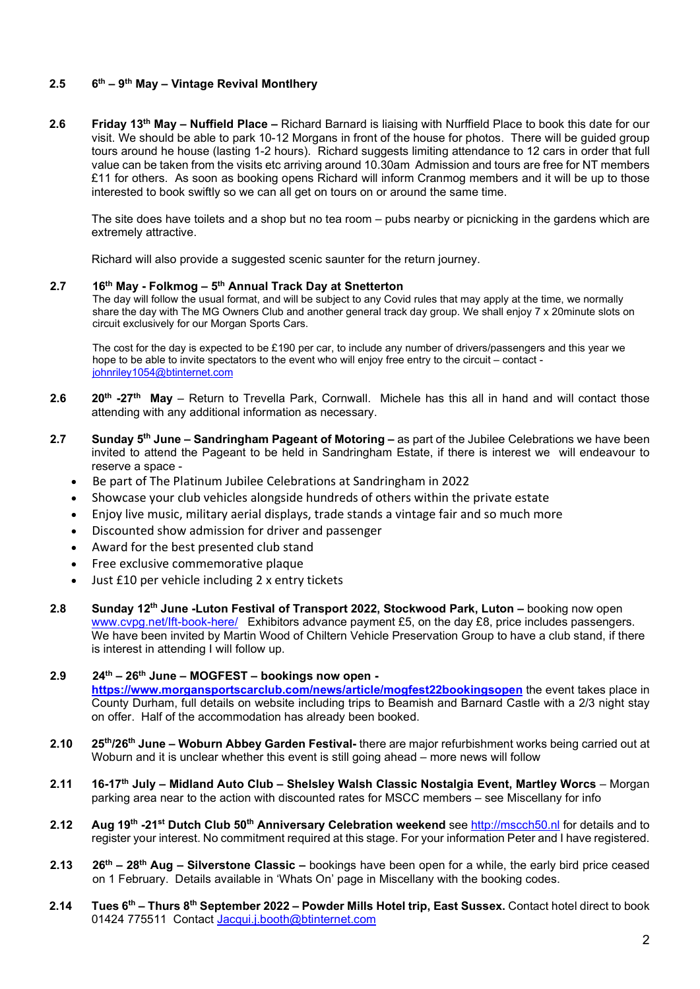# 2.5  $6^{th} - 9^{th}$  May – Vintage Revival Montlhery

2.6 Friday 13<sup>th</sup> May – Nuffield Place – Richard Barnard is liaising with Nurffield Place to book this date for our visit. We should be able to park 10-12 Morgans in front of the house for photos. There will be guided group tours around he house (lasting 1-2 hours). Richard suggests limiting attendance to 12 cars in order that full value can be taken from the visits etc arriving around 10.30am Admission and tours are free for NT members £11 for others. As soon as booking opens Richard will inform Cranmog members and it will be up to those interested to book swiftly so we can all get on tours on or around the same time.

The site does have toilets and a shop but no tea room – pubs nearby or picnicking in the gardens which are extremely attractive.

Richard will also provide a suggested scenic saunter for the return journey.

#### 2.7  $16^{th}$  May - Folkmog –  $5^{th}$  Annual Track Day at Snetterton

The day will follow the usual format, and will be subject to any Covid rules that may apply at the time, we normally share the day with The MG Owners Club and another general track day group. We shall enjoy 7 x 20minute slots on circuit exclusively for our Morgan Sports Cars.

The cost for the day is expected to be £190 per car, to include any number of drivers/passengers and this year we hope to be able to invite spectators to the event who will enjoy free entry to the circuit – contact johnriley1054@btinternet.com

- 2.6 20<sup>th</sup> -27<sup>th</sup> May Return to Trevella Park, Cornwall. Michele has this all in hand and will contact those attending with any additional information as necessary.
- 2.7 Sunday  $5<sup>th</sup>$  June Sandringham Pageant of Motoring as part of the Jubilee Celebrations we have been invited to attend the Pageant to be held in Sandringham Estate, if there is interest we will endeavour to reserve a space -
	- Be part of The Platinum Jubilee Celebrations at Sandringham in 2022
	- Showcase your club vehicles alongside hundreds of others within the private estate
	- Enjoy live music, military aerial displays, trade stands a vintage fair and so much more
	- Discounted show admission for driver and passenger
	- Award for the best presented club stand
	- Free exclusive commemorative plaque
	- Just £10 per vehicle including 2 x entry tickets
- 2.8 Sunday 12<sup>th</sup> June -Luton Festival of Transport 2022, Stockwood Park, Luton booking now open www.cvpg.net/lft-book-here/ Exhibitors advance payment £5, on the day £8, price includes passengers. We have been invited by Martin Wood of Chiltern Vehicle Preservation Group to have a club stand, if there is interest in attending I will follow up.
- $2.9$  24<sup>th</sup> 26<sup>th</sup> June MOGFEST bookings now open https://www.morgansportscarclub.com/news/article/mogfest22bookingsopen the event takes place in County Durham, full details on website including trips to Beamish and Barnard Castle with a 2/3 night stay on offer. Half of the accommodation has already been booked.
- 2.10 25<sup>th</sup>/26<sup>th</sup> June Woburn Abbey Garden Festival- there are major refurbishment works being carried out at Woburn and it is unclear whether this event is still going ahead – more news will follow
- 2.11 16-17<sup>th</sup> July Midland Auto Club Shelsley Walsh Classic Nostalgia Event, Martley Worcs Morgan parking area near to the action with discounted rates for MSCC members – see Miscellany for info
- 2.12 Aug 19<sup>th</sup> -21<sup>st</sup> Dutch Club 50<sup>th</sup> Anniversary Celebration weekend see http://mscch50.nl for details and to register your interest. No commitment required at this stage. For your information Peter and I have registered.
- 2.13  $26<sup>th</sup> 28<sup>th</sup>$  Aug Silverstone Classic bookings have been open for a while, the early bird price ceased on 1 February. Details available in 'Whats On' page in Miscellany with the booking codes.
- 2.14 Tues 6<sup>th</sup> Thurs 8<sup>th</sup> September 2022 Powder Mills Hotel trip, East Sussex. Contact hotel direct to book 01424 775511 Contact Jacqui.j.booth@btinternet.com